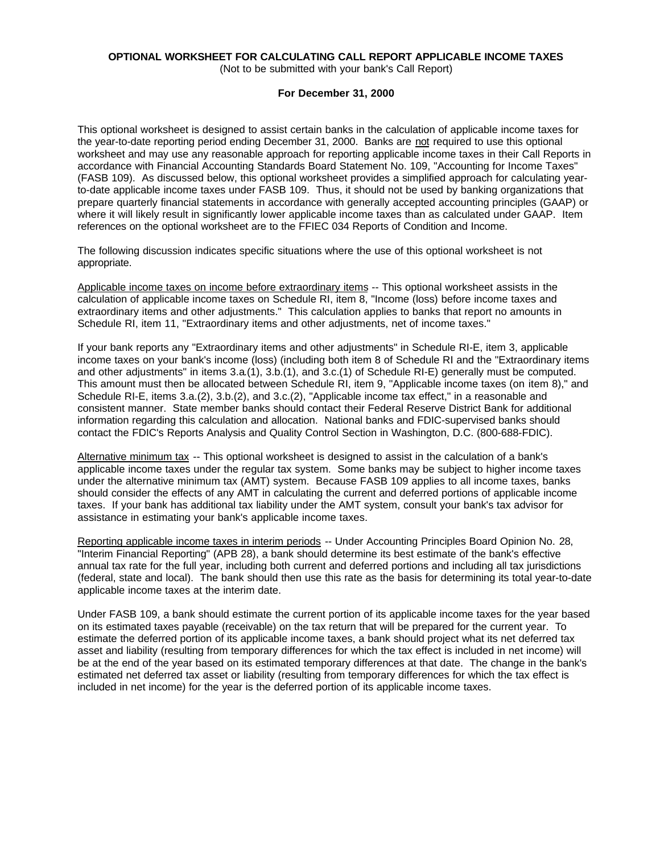# **OPTIONAL WORKSHEET FOR CALCULATING CALL REPORT APPLICABLE INCOME TAXES**

(Not to be submitted with your bank's Call Report)

#### **For December 31, 2000**

This optional worksheet is designed to assist certain banks in the calculation of applicable income taxes for the year-to-date reporting period ending December 31, 2000. Banks are not required to use this optional worksheet and may use any reasonable approach for reporting applicable income taxes in their Call Reports in accordance with Financial Accounting Standards Board Statement No. 109, "Accounting for Income Taxes" (FASB 109). As discussed below, this optional worksheet provides a simplified approach for calculating yearto-date applicable income taxes under FASB 109. Thus, it should not be used by banking organizations that prepare quarterly financial statements in accordance with generally accepted accounting principles (GAAP) or where it will likely result in significantly lower applicable income taxes than as calculated under GAAP. Item references on the optional worksheet are to the FFIEC 034 Reports of Condition and Income.

The following discussion indicates specific situations where the use of this optional worksheet is not appropriate.

Applicable income taxes on income before extraordinary items -- This optional worksheet assists in the calculation of applicable income taxes on Schedule RI, item 8, "Income (loss) before income taxes and extraordinary items and other adjustments." This calculation applies to banks that report no amounts in Schedule RI, item 11, "Extraordinary items and other adjustments, net of income taxes."

If your bank reports any "Extraordinary items and other adjustments" in Schedule RI-E, item 3, applicable income taxes on your bank's income (loss) (including both item 8 of Schedule RI and the "Extraordinary items and other adjustments" in items 3.a.(1), 3.b.(1), and 3.c.(1) of Schedule RI-E) generally must be computed. This amount must then be allocated between Schedule RI, item 9, "Applicable income taxes (on item 8)," and Schedule RI-E, items 3.a.(2), 3.b.(2), and 3.c.(2), "Applicable income tax effect," in a reasonable and consistent manner. State member banks should contact their Federal Reserve District Bank for additional information regarding this calculation and allocation. National banks and FDIC-supervised banks should contact the FDIC's Reports Analysis and Quality Control Section in Washington, D.C. (800-688-FDIC).

Alternative minimum tax -- This optional worksheet is designed to assist in the calculation of a bank's applicable income taxes under the regular tax system. Some banks may be subject to higher income taxes under the alternative minimum tax (AMT) system. Because FASB 109 applies to all income taxes, banks should consider the effects of any AMT in calculating the current and deferred portions of applicable income taxes. If your bank has additional tax liability under the AMT system, consult your bank's tax advisor for assistance in estimating your bank's applicable income taxes.

Reporting applicable income taxes in interim periods -- Under Accounting Principles Board Opinion No. 28, "Interim Financial Reporting" (APB 28), a bank should determine its best estimate of the bank's effective annual tax rate for the full year, including both current and deferred portions and including all tax jurisdictions (federal, state and local). The bank should then use this rate as the basis for determining its total year-to-date applicable income taxes at the interim date.

Under FASB 109, a bank should estimate the current portion of its applicable income taxes for the year based on its estimated taxes payable (receivable) on the tax return that will be prepared for the current year. To estimate the deferred portion of its applicable income taxes, a bank should project what its net deferred tax asset and liability (resulting from temporary differences for which the tax effect is included in net income) will be at the end of the year based on its estimated temporary differences at that date. The change in the bank's estimated net deferred tax asset or liability (resulting from temporary differences for which the tax effect is included in net income) for the year is the deferred portion of its applicable income taxes.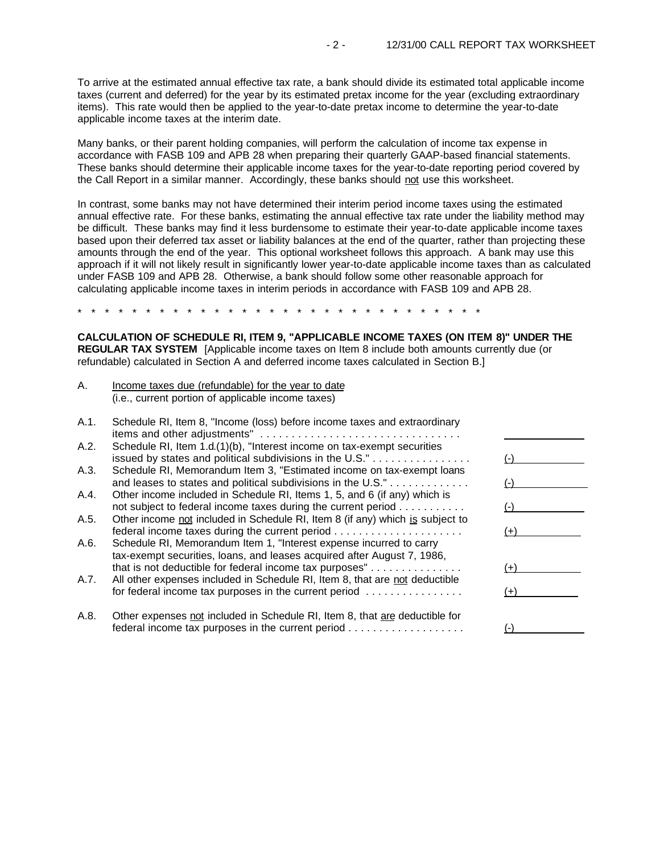To arrive at the estimated annual effective tax rate, a bank should divide its estimated total applicable income taxes (current and deferred) for the year by its estimated pretax income for the year (excluding extraordinary items). This rate would then be applied to the year-to-date pretax income to determine the year-to-date applicable income taxes at the interim date.

Many banks, or their parent holding companies, will perform the calculation of income tax expense in accordance with FASB 109 and APB 28 when preparing their quarterly GAAP-based financial statements. These banks should determine their applicable income taxes for the year-to-date reporting period covered by the Call Report in a similar manner. Accordingly, these banks should not use this worksheet.

In contrast, some banks may not have determined their interim period income taxes using the estimated annual effective rate. For these banks, estimating the annual effective tax rate under the liability method may be difficult. These banks may find it less burdensome to estimate their year-to-date applicable income taxes based upon their deferred tax asset or liability balances at the end of the quarter, rather than projecting these amounts through the end of the year. This optional worksheet follows this approach. A bank may use this approach if it will not likely result in significantly lower year-to-date applicable income taxes than as calculated under FASB 109 and APB 28. Otherwise, a bank should follow some other reasonable approach for calculating applicable income taxes in interim periods in accordance with FASB 109 and APB 28.

\* \* \* \* \* \* \* \* \* \* \* \* \* \* \* \* \* \* \* \* \* \* \* \* \* \* \* \* \* \*

**CALCULATION OF SCHEDULE RI, ITEM 9, "APPLICABLE INCOME TAXES (ON ITEM 8)" UNDER THE REGULAR TAX SYSTEM** [Applicable income taxes on Item 8 include both amounts currently due (or refundable) calculated in Section A and deferred income taxes calculated in Section B.]

A. Income taxes due (refundable) for the year to date (i.e., current portion of applicable income taxes)

| A.1. | Schedule RI, Item 8, "Income (loss) before income taxes and extraordinary     |       |
|------|-------------------------------------------------------------------------------|-------|
|      |                                                                               |       |
| A.2. | Schedule RI, Item 1.d.(1)(b), "Interest income on tax-exempt securities       |       |
|      | issued by states and political subdivisions in the U.S."                      |       |
| A.3. | Schedule RI, Memorandum Item 3, "Estimated income on tax-exempt loans         |       |
|      | and leases to states and political subdivisions in the U.S."                  |       |
| A.4. | Other income included in Schedule RI, Items 1, 5, and 6 (if any) which is     |       |
|      | not subject to federal income taxes during the current period                 |       |
| A.5. | Other income not included in Schedule RI, Item 8 (if any) which is subject to |       |
|      |                                                                               | $(+)$ |
| A.6. | Schedule RI, Memorandum Item 1, "Interest expense incurred to carry           |       |
|      | tax-exempt securities, loans, and leases acquired after August 7, 1986,       |       |
|      | that is not deductible for federal income tax purposes"                       | $(+)$ |
| A.7. | All other expenses included in Schedule RI, Item 8, that are not deductible   |       |
|      | for federal income tax purposes in the current period                         |       |
| A.8. | Other expenses not included in Schedule RI, Item 8, that are deductible for   |       |
|      |                                                                               |       |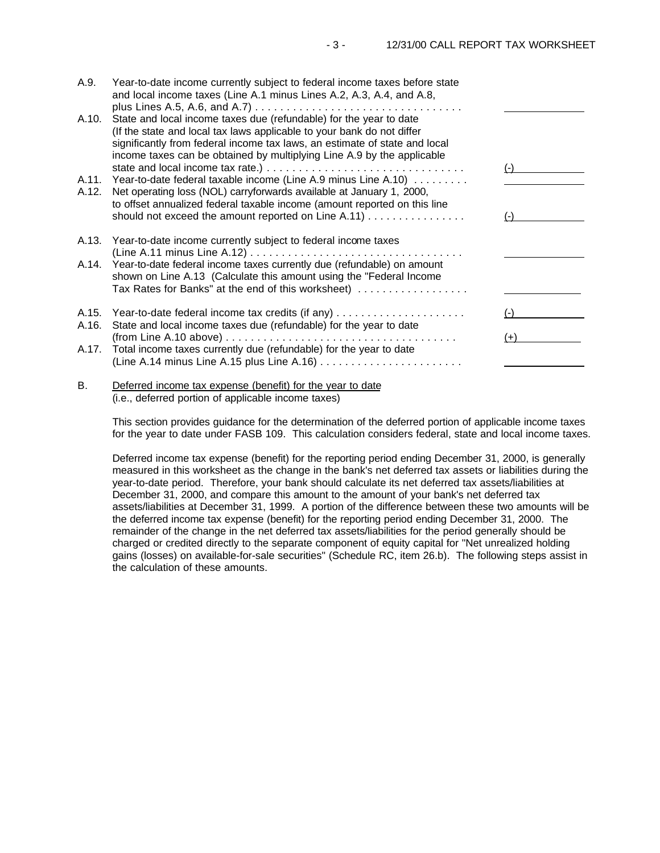| A.9.  | Year-to-date income currently subject to federal income taxes before state<br>and local income taxes (Line A.1 minus Lines A.2, A.3, A.4, and A.8,                                                                                                                                                   |       |
|-------|------------------------------------------------------------------------------------------------------------------------------------------------------------------------------------------------------------------------------------------------------------------------------------------------------|-------|
| A.10. | State and local income taxes due (refundable) for the year to date<br>(If the state and local tax laws applicable to your bank do not differ<br>significantly from federal income tax laws, an estimate of state and local<br>income taxes can be obtained by multiplying Line A.9 by the applicable |       |
| A.11. | Year-to-date federal taxable income (Line A.9 minus Line A.10)                                                                                                                                                                                                                                       | $(-)$ |
| A.12. | Net operating loss (NOL) carryforwards available at January 1, 2000,<br>to offset annualized federal taxable income (amount reported on this line                                                                                                                                                    |       |
|       |                                                                                                                                                                                                                                                                                                      | (-)   |
| A.13. | Year-to-date income currently subject to federal income taxes                                                                                                                                                                                                                                        |       |
|       | A.14. Year-to-date federal income taxes currently due (refundable) on amount<br>shown on Line A.13 (Calculate this amount using the "Federal Income"<br>Tax Rates for Banks" at the end of this worksheet)                                                                                           |       |
| A.15. |                                                                                                                                                                                                                                                                                                      | $(-)$ |
| A.16. | State and local income taxes due (refundable) for the year to date<br>$(from Line A.10 above) \ldots \ldots \ldots \ldots \ldots \ldots \ldots \ldots \ldots \ldots$                                                                                                                                 | $(+)$ |
| A.17. | Total income taxes currently due (refundable) for the year to date                                                                                                                                                                                                                                   |       |
|       |                                                                                                                                                                                                                                                                                                      |       |

## B. Deferred income tax expense (benefit) for the year to date (i.e., deferred portion of applicable income taxes)

This section provides guidance for the determination of the deferred portion of applicable income taxes for the year to date under FASB 109. This calculation considers federal, state and local income taxes.

Deferred income tax expense (benefit) for the reporting period ending December 31, 2000, is generally measured in this worksheet as the change in the bank's net deferred tax assets or liabilities during the year-to-date period. Therefore, your bank should calculate its net deferred tax assets/liabilities at December 31, 2000, and compare this amount to the amount of your bank's net deferred tax assets/liabilities at December 31, 1999. A portion of the difference between these two amounts will be the deferred income tax expense (benefit) for the reporting period ending December 31, 2000. The remainder of the change in the net deferred tax assets/liabilities for the period generally should be charged or credited directly to the separate component of equity capital for "Net unrealized holding gains (losses) on available-for-sale securities" (Schedule RC, item 26.b). The following steps assist in the calculation of these amounts.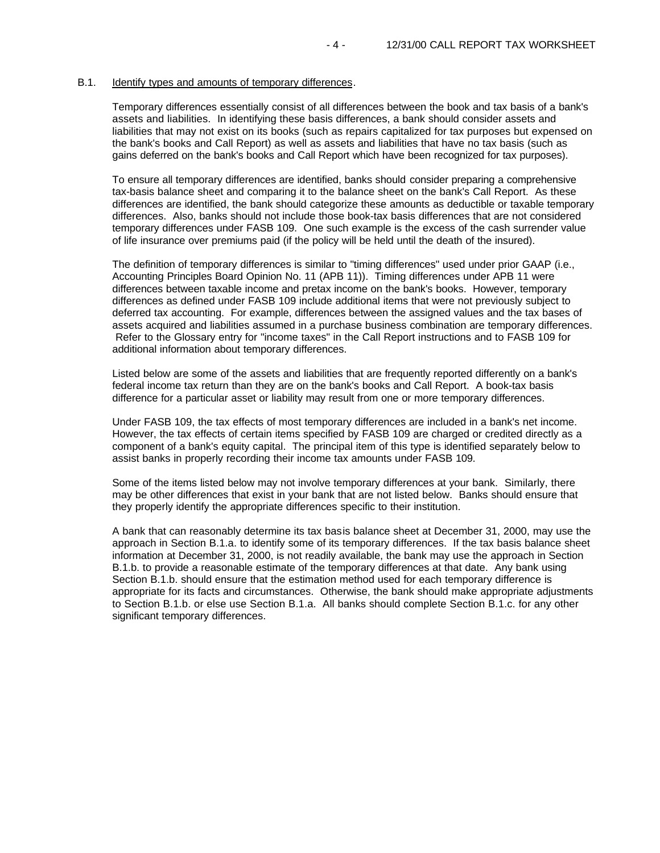#### B.1. Identify types and amounts of temporary differences.

Temporary differences essentially consist of all differences between the book and tax basis of a bank's assets and liabilities. In identifying these basis differences, a bank should consider assets and liabilities that may not exist on its books (such as repairs capitalized for tax purposes but expensed on the bank's books and Call Report) as well as assets and liabilities that have no tax basis (such as gains deferred on the bank's books and Call Report which have been recognized for tax purposes).

To ensure all temporary differences are identified, banks should consider preparing a comprehensive tax-basis balance sheet and comparing it to the balance sheet on the bank's Call Report. As these differences are identified, the bank should categorize these amounts as deductible or taxable temporary differences. Also, banks should not include those book-tax basis differences that are not considered temporary differences under FASB 109. One such example is the excess of the cash surrender value of life insurance over premiums paid (if the policy will be held until the death of the insured).

The definition of temporary differences is similar to "timing differences" used under prior GAAP (i.e., Accounting Principles Board Opinion No. 11 (APB 11)). Timing differences under APB 11 were differences between taxable income and pretax income on the bank's books. However, temporary differences as defined under FASB 109 include additional items that were not previously subject to deferred tax accounting. For example, differences between the assigned values and the tax bases of assets acquired and liabilities assumed in a purchase business combination are temporary differences. Refer to the Glossary entry for "income taxes" in the Call Report instructions and to FASB 109 for additional information about temporary differences.

Listed below are some of the assets and liabilities that are frequently reported differently on a bank's federal income tax return than they are on the bank's books and Call Report. A book-tax basis difference for a particular asset or liability may result from one or more temporary differences.

Under FASB 109, the tax effects of most temporary differences are included in a bank's net income. However, the tax effects of certain items specified by FASB 109 are charged or credited directly as a component of a bank's equity capital. The principal item of this type is identified separately below to assist banks in properly recording their income tax amounts under FASB 109.

Some of the items listed below may not involve temporary differences at your bank. Similarly, there may be other differences that exist in your bank that are not listed below. Banks should ensure that they properly identify the appropriate differences specific to their institution.

A bank that can reasonably determine its tax basis balance sheet at December 31, 2000, may use the approach in Section B.1.a. to identify some of its temporary differences. If the tax basis balance sheet information at December 31, 2000, is not readily available, the bank may use the approach in Section B.1.b. to provide a reasonable estimate of the temporary differences at that date. Any bank using Section B.1.b. should ensure that the estimation method used for each temporary difference is appropriate for its facts and circumstances. Otherwise, the bank should make appropriate adjustments to Section B.1.b. or else use Section B.1.a. All banks should complete Section B.1.c. for any other significant temporary differences.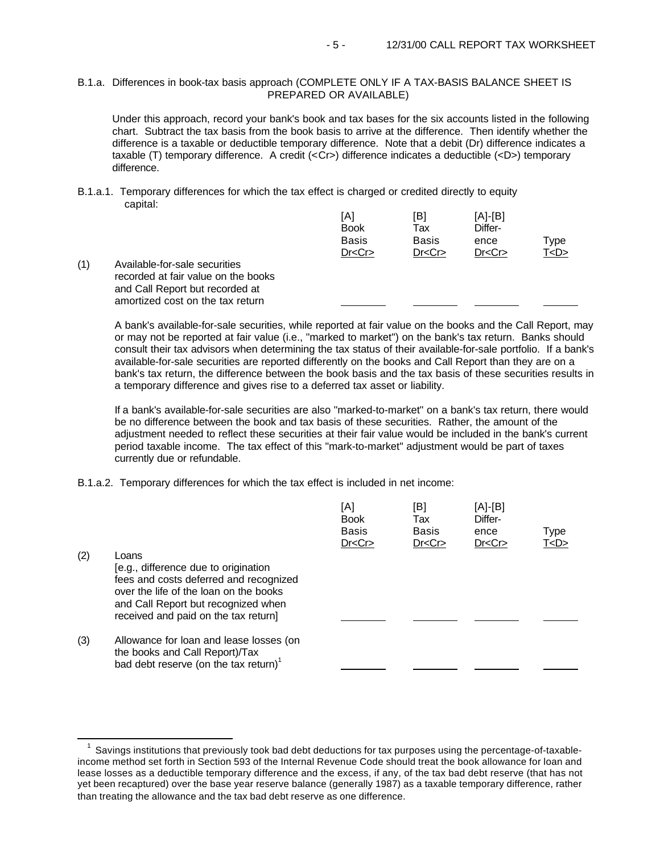## B.1.a. Differences in book-tax basis approach (COMPLETE ONLY IF A TAX-BASIS BALANCE SHEET IS PREPARED OR AVAILABLE)

Under this approach, record your bank's book and tax bases for the six accounts listed in the following chart. Subtract the tax basis from the book basis to arrive at the difference. Then identify whether the difference is a taxable or deductible temporary difference. Note that a debit (Dr) difference indicates a taxable (T) temporary difference. A credit (<Cr>) difference indicates a deductible (<D>) temporary difference.

B.1.a.1. Temporary differences for which the tax effect is charged or credited directly to equity capital:

| [B]          | $[A]-[B]$ |             |
|--------------|-----------|-------------|
| Tax          | Differ-   |             |
| <b>Basis</b> | ence      | <b>Type</b> |
| Dr < Cr      | Dr < Cr   | T <d></d>   |
|              |           |             |
|              |           |             |

(1) Available-for-sale securities recorded at fair value on the books and Call Report but recorded at amortized cost on the tax return

e<br>S

A bank's available-for-sale securities, while reported at fair value on the books and the Call Report, may or may not be reported at fair value (i.e., "marked to market") on the bank's tax return. Banks should consult their tax advisors when determining the tax status of their available-for-sale portfolio. If a bank's available-for-sale securities are reported differently on the books and Call Report than they are on a bank's tax return, the difference between the book basis and the tax basis of these securities results in a temporary difference and gives rise to a deferred tax asset or liability.

L

If a bank's available-for-sale securities are also "marked-to-market" on a bank's tax return, there would be no difference between the book and tax basis of these securities. Rather, the amount of the adjustment needed to reflect these securities at their fair value would be included in the bank's current period taxable income. The tax effect of this "mark-to-market" adjustment would be part of taxes currently due or refundable.

B.1.a.2. Temporary differences for which the tax effect is included in net income:

|     |                                                   | [A]<br><b>Book</b><br><b>Basis</b><br>Dr < Cr | [B]<br>Tax<br><b>Basis</b><br>Dr < Cr | [A]-[B]<br>Differ-<br>ence<br>Dr < Cr | Type<br><u>T<d></d></u> |
|-----|---------------------------------------------------|-----------------------------------------------|---------------------------------------|---------------------------------------|-------------------------|
| (2) | Loans                                             |                                               |                                       |                                       |                         |
|     | [e.g., difference due to origination              |                                               |                                       |                                       |                         |
|     | fees and costs deferred and recognized            |                                               |                                       |                                       |                         |
|     | over the life of the loan on the books            |                                               |                                       |                                       |                         |
|     | and Call Report but recognized when               |                                               |                                       |                                       |                         |
|     | received and paid on the tax return]              |                                               |                                       |                                       |                         |
|     |                                                   |                                               |                                       |                                       |                         |
| (3) | Allowance for loan and lease losses (on           |                                               |                                       |                                       |                         |
|     | the books and Call Report)/Tax                    |                                               |                                       |                                       |                         |
|     | bad debt reserve (on the tax return) <sup>1</sup> |                                               |                                       |                                       |                         |

Savings institutions that previously took bad debt deductions for tax purposes using the percentage-of-taxableincome method set forth in Section 593 of the Internal Revenue Code should treat the book allowance for loan and lease losses as a deductible temporary difference and the excess, if any, of the tax bad debt reserve (that has not yet been recaptured) over the base year reserve balance (generally 1987) as a taxable temporary difference, rather than treating the allowance and the tax bad debt reserve as one difference.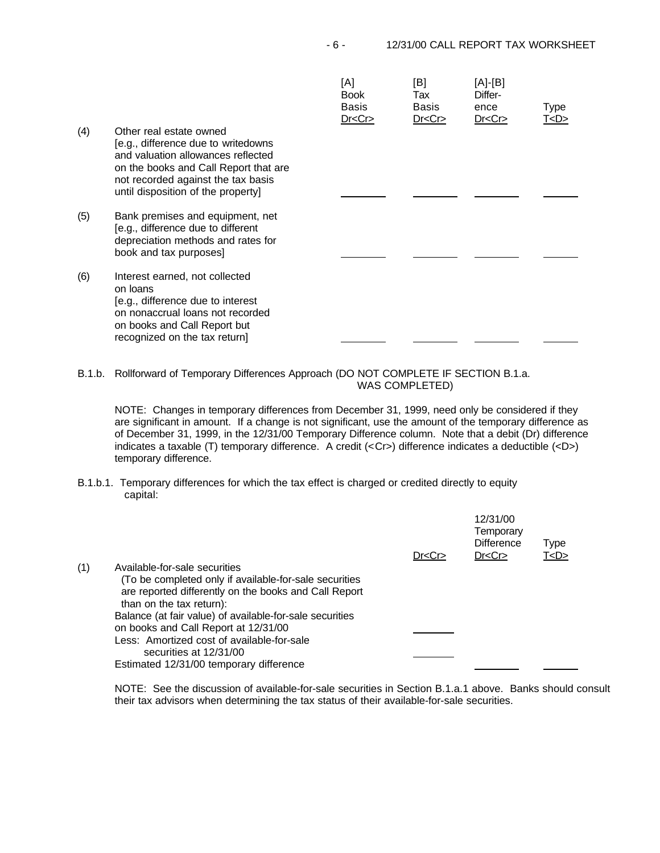| (4) | Other real estate owned<br>[e.g., difference due to writedowns<br>and valuation allowances reflected<br>on the books and Call Report that are<br>not recorded against the tax basis<br>until disposition of the property] | [A]<br><b>Book</b><br>Basis<br>Dr < Cr | [B]<br>Tax<br>Basis<br>Dr < Cr | [A]-[B]<br>Differ-<br>ence<br>Dr < Cr | Type<br><u>T<d></d></u> |
|-----|---------------------------------------------------------------------------------------------------------------------------------------------------------------------------------------------------------------------------|----------------------------------------|--------------------------------|---------------------------------------|-------------------------|
|     |                                                                                                                                                                                                                           |                                        |                                |                                       |                         |
| (5) | Bank premises and equipment, net<br>[e.g., difference due to different<br>depreciation methods and rates for<br>book and tax purposes]                                                                                    |                                        |                                |                                       |                         |
| (6) | Interest earned, not collected<br>on loans<br>[e.g., difference due to interest<br>on nonaccrual loans not recorded<br>on books and Call Report but<br>recognized on the tax return]                                      |                                        |                                |                                       |                         |

B.1.b. Rollforward of Temporary Differences Approach (DO NOT COMPLETE IF SECTION B.1.a. WAS COMPLETED)

NOTE: Changes in temporary differences from December 31, 1999, need only be considered if they are significant in amount. If a change is not significant, use the amount of the temporary difference as of December 31, 1999, in the 12/31/00 Temporary Difference column. Note that a debit (Dr) difference indicates a taxable (T) temporary difference. A credit (<Cr>) difference indicates a deductible (<D>) temporary difference.

B.1.b.1. Temporary differences for which the tax effect is charged or credited directly to equity capital:

|     |                                                                                                                                             | Dr < Cr | 12/31/00<br>Temporary<br><b>Difference</b><br>Dr < Cr | Type<br>T < D > |  |
|-----|---------------------------------------------------------------------------------------------------------------------------------------------|---------|-------------------------------------------------------|-----------------|--|
| (1) | Available-for-sale securities                                                                                                               |         |                                                       |                 |  |
|     | (To be completed only if available-for-sale securities<br>are reported differently on the books and Call Report<br>than on the tax return): |         |                                                       |                 |  |
|     | Balance (at fair value) of available-for-sale securities                                                                                    |         |                                                       |                 |  |
|     | on books and Call Report at 12/31/00                                                                                                        |         |                                                       |                 |  |
|     | Less: Amortized cost of available-for-sale<br>securities at 12/31/00                                                                        |         |                                                       |                 |  |
|     | Estimated 12/31/00 temporary difference                                                                                                     |         |                                                       |                 |  |

NOTE: See the discussion of available-for-sale securities in Section B.1.a.1 above. Banks should consult their tax advisors when determining the tax status of their available-for-sale securities.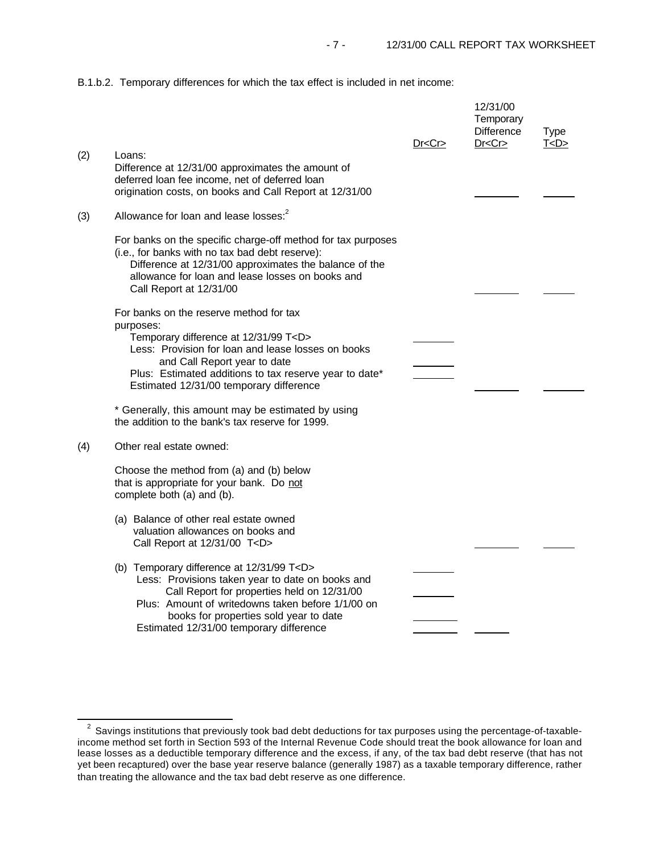B.1.b.2. Temporary differences for which the tax effect is included in net income:

|     |                                                                                                                                                                                                                                                                                                   | Dr < Cr | 12/31/00<br>Temporary<br><b>Difference</b><br>Dr < Cr | <b>Type</b><br>T <d></d> |
|-----|---------------------------------------------------------------------------------------------------------------------------------------------------------------------------------------------------------------------------------------------------------------------------------------------------|---------|-------------------------------------------------------|--------------------------|
| (2) | Loans:<br>Difference at 12/31/00 approximates the amount of<br>deferred loan fee income, net of deferred loan<br>origination costs, on books and Call Report at 12/31/00                                                                                                                          |         |                                                       |                          |
| (3) | Allowance for loan and lease losses: <sup>2</sup>                                                                                                                                                                                                                                                 |         |                                                       |                          |
|     | For banks on the specific charge-off method for tax purposes<br>(i.e., for banks with no tax bad debt reserve):<br>Difference at 12/31/00 approximates the balance of the<br>allowance for loan and lease losses on books and<br>Call Report at 12/31/00                                          |         |                                                       |                          |
|     | For banks on the reserve method for tax<br>purposes:<br>Temporary difference at 12/31/99 T <d><br/>Less: Provision for loan and lease losses on books<br/>and Call Report year to date<br/>Plus: Estimated additions to tax reserve year to date*<br/>Estimated 12/31/00 temporary difference</d> |         |                                                       |                          |
|     | * Generally, this amount may be estimated by using<br>the addition to the bank's tax reserve for 1999.                                                                                                                                                                                            |         |                                                       |                          |
| (4) | Other real estate owned:                                                                                                                                                                                                                                                                          |         |                                                       |                          |
|     | Choose the method from (a) and (b) below<br>that is appropriate for your bank. Do not<br>complete both (a) and (b).                                                                                                                                                                               |         |                                                       |                          |
|     | (a) Balance of other real estate owned<br>valuation allowances on books and<br>Call Report at 12/31/00 T <d></d>                                                                                                                                                                                  |         |                                                       |                          |
|     | (b) Temporary difference at 12/31/99 T <d><br/>Less: Provisions taken year to date on books and<br/>Call Report for properties held on 12/31/00<br/>Plus: Amount of writedowns taken before 1/1/00 on<br/>books for properties sold year to date<br/>Estimated 12/31/00 temporary difference</d>  |         |                                                       |                          |

e<br>S

 $^{2}$  Savings institutions that previously took bad debt deductions for tax purposes using the percentage-of-taxableincome method set forth in Section 593 of the Internal Revenue Code should treat the book allowance for loan and lease losses as a deductible temporary difference and the excess, if any, of the tax bad debt reserve (that has not yet been recaptured) over the base year reserve balance (generally 1987) as a taxable temporary difference, rather than treating the allowance and the tax bad debt reserve as one difference.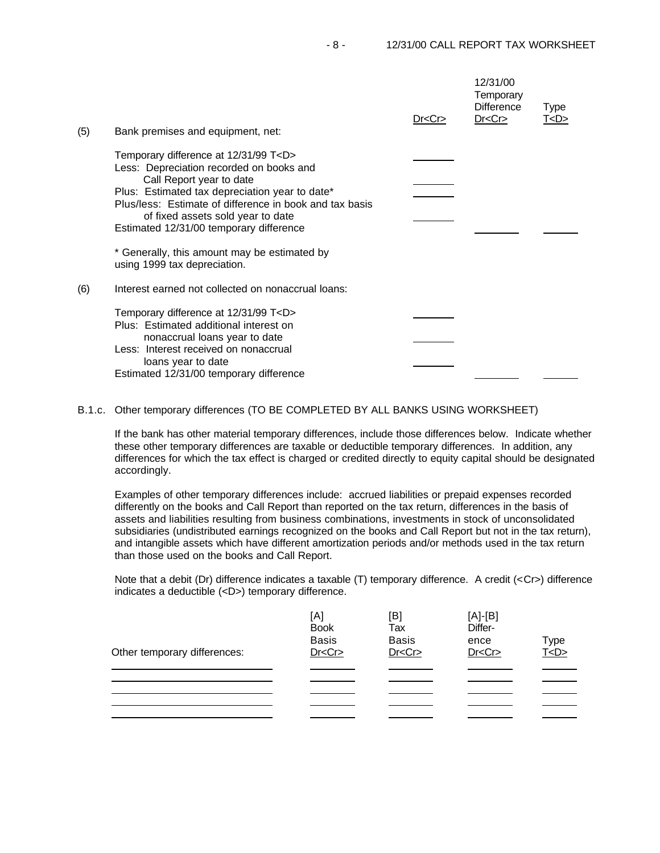| (5) | Bank premises and equipment, net:                                                                                                                                                                                                                                                                                     | Dr < Cr | 12/31/00<br>Temporary<br><b>Difference</b><br>Dr < Cr | Type<br><u>T<d></d></u> |
|-----|-----------------------------------------------------------------------------------------------------------------------------------------------------------------------------------------------------------------------------------------------------------------------------------------------------------------------|---------|-------------------------------------------------------|-------------------------|
|     | Temporary difference at 12/31/99 T <d><br/>Less: Depreciation recorded on books and<br/>Call Report year to date<br/>Plus: Estimated tax depreciation year to date*<br/>Plus/less: Estimate of difference in book and tax basis<br/>of fixed assets sold year to date<br/>Estimated 12/31/00 temporary difference</d> |         |                                                       |                         |
|     | * Generally, this amount may be estimated by<br>using 1999 tax depreciation.                                                                                                                                                                                                                                          |         |                                                       |                         |
| (6) | Interest earned not collected on nonaccrual loans:                                                                                                                                                                                                                                                                    |         |                                                       |                         |
|     | Temporary difference at 12/31/99 T <d><br/>Plus: Estimated additional interest on<br/>nonaccrual loans year to date<br/>Less: Interest received on nonaccrual<br/>loans year to date<br/>Estimated 12/31/00 temporary difference</d>                                                                                  |         |                                                       |                         |

## B.1.c. Other temporary differences (TO BE COMPLETED BY ALL BANKS USING WORKSHEET)

If the bank has other material temporary differences, include those differences below. Indicate whether these other temporary differences are taxable or deductible temporary differences. In addition, any differences for which the tax effect is charged or credited directly to equity capital should be designated accordingly.

Examples of other temporary differences include: accrued liabilities or prepaid expenses recorded differently on the books and Call Report than reported on the tax return, differences in the basis of assets and liabilities resulting from business combinations, investments in stock of unconsolidated subsidiaries (undistributed earnings recognized on the books and Call Report but not in the tax return), and intangible assets which have different amortization periods and/or methods used in the tax return than those used on the books and Call Report.

Note that a debit (Dr) difference indicates a taxable (T) temporary difference. A credit (<Cr>) difference indicates a deductible (<D>) temporary difference.

| Other temporary differences: | [A]<br><b>Book</b><br><b>Basis</b><br>Dr < Cr | [B]<br>Tax<br><b>Basis</b><br>Dr < Cr | $[A]-[B]$<br>Differ-<br>ence<br>Dr < Cr | Type<br>T <d></d> |
|------------------------------|-----------------------------------------------|---------------------------------------|-----------------------------------------|-------------------|
|                              |                                               |                                       |                                         |                   |
|                              |                                               |                                       |                                         |                   |
|                              |                                               |                                       |                                         |                   |
|                              |                                               |                                       |                                         |                   |
|                              |                                               |                                       |                                         |                   |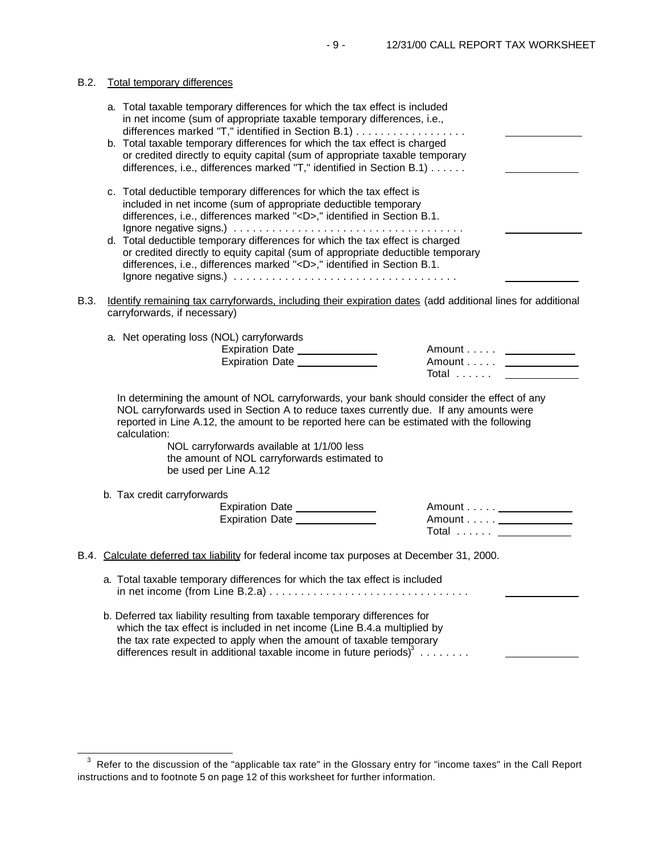## B.2. Total temporary differences

e<br>S

|      | a. Total taxable temporary differences for which the tax effect is included<br>in net income (sum of appropriate taxable temporary differences, i.e.,<br>differences marked "T," identified in Section B.1)<br>b. Total taxable temporary differences for which the tax effect is charged                                                                                                                                 |                                                                                                  |
|------|---------------------------------------------------------------------------------------------------------------------------------------------------------------------------------------------------------------------------------------------------------------------------------------------------------------------------------------------------------------------------------------------------------------------------|--------------------------------------------------------------------------------------------------|
|      | or credited directly to equity capital (sum of appropriate taxable temporary<br>differences, i.e., differences marked "T," identified in Section B.1)                                                                                                                                                                                                                                                                     |                                                                                                  |
|      | c. Total deductible temporary differences for which the tax effect is<br>included in net income (sum of appropriate deductible temporary<br>differences, i.e., differences marked " <d>," identified in Section B.1.</d>                                                                                                                                                                                                  |                                                                                                  |
|      | d. Total deductible temporary differences for which the tax effect is charged<br>or credited directly to equity capital (sum of appropriate deductible temporary<br>differences, i.e., differences marked " <d>," identified in Section B.1.</d>                                                                                                                                                                          |                                                                                                  |
| B.3. | Identify remaining tax carryforwards, including their expiration dates (add additional lines for additional<br>carryforwards, if necessary)                                                                                                                                                                                                                                                                               |                                                                                                  |
|      | a. Net operating loss (NOL) carryforwards<br>Expiration Date<br>Expiration Date                                                                                                                                                                                                                                                                                                                                           | Amount <u>_________</u><br>Amount <u>_____________</u><br>Total <u>________</u>                  |
|      | In determining the amount of NOL carryforwards, your bank should consider the effect of any<br>NOL carryforwards used in Section A to reduce taxes currently due. If any amounts were<br>reported in Line A.12, the amount to be reported here can be estimated with the following<br>calculation:<br>NOL carryforwards available at 1/1/00 less<br>the amount of NOL carryforwards estimated to<br>be used per Line A.12 |                                                                                                  |
|      | b. Tax credit carryforwards<br>Expiration Date ______________<br>Expiration Date                                                                                                                                                                                                                                                                                                                                          | Amount <u>_____________</u> __<br>Amount <u>_____________</u> __<br>Total <u>_____________</u> _ |
|      | B.4. Calculate deferred tax liability for federal income tax purposes at December 31, 2000.                                                                                                                                                                                                                                                                                                                               |                                                                                                  |
|      | a. Total taxable temporary differences for which the tax effect is included                                                                                                                                                                                                                                                                                                                                               |                                                                                                  |
|      | b. Deferred tax liability resulting from taxable temporary differences for<br>which the tax effect is included in net income (Line B.4.a multiplied by                                                                                                                                                                                                                                                                    |                                                                                                  |

 $3$  Refer to the discussion of the "applicable tax rate" in the Glossary entry for "income taxes" in the Call Report instructions and to footnote 5 on page 12 of this worksheet for further information.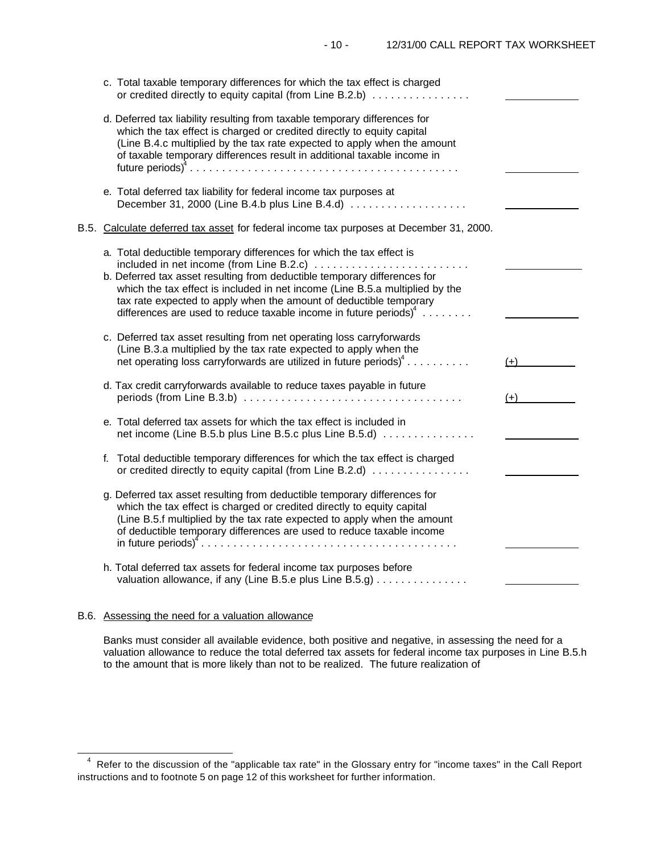|    | c. Total taxable temporary differences for which the tax effect is charged<br>or credited directly to equity capital (from Line B.2.b)                                                                                                                                                                                                                                                                                          |       |
|----|---------------------------------------------------------------------------------------------------------------------------------------------------------------------------------------------------------------------------------------------------------------------------------------------------------------------------------------------------------------------------------------------------------------------------------|-------|
|    | d. Deferred tax liability resulting from taxable temporary differences for<br>which the tax effect is charged or credited directly to equity capital<br>(Line B.4.c multiplied by the tax rate expected to apply when the amount<br>of taxable temporary differences result in additional taxable income in                                                                                                                     |       |
|    | e. Total deferred tax liability for federal income tax purposes at<br>December 31, 2000 (Line B.4.b plus Line B.4.d)                                                                                                                                                                                                                                                                                                            |       |
|    | B.5. Calculate deferred tax asset for federal income tax purposes at December 31, 2000.                                                                                                                                                                                                                                                                                                                                         |       |
|    | a. Total deductible temporary differences for which the tax effect is<br>included in net income (from Line B.2.c)<br>b. Deferred tax asset resulting from deductible temporary differences for<br>which the tax effect is included in net income (Line B.5.a multiplied by the<br>tax rate expected to apply when the amount of deductible temporary<br>differences are used to reduce taxable income in future periods) $\phi$ |       |
|    | c. Deferred tax asset resulting from net operating loss carryforwards<br>(Line B.3.a multiplied by the tax rate expected to apply when the<br>net operating loss carryforwards are utilized in future periods) <sup>4</sup>                                                                                                                                                                                                     | $(+)$ |
|    | d. Tax credit carryforwards available to reduce taxes payable in future                                                                                                                                                                                                                                                                                                                                                         | $(+)$ |
|    | e. Total deferred tax assets for which the tax effect is included in<br>net income (Line B.5.b plus Line B.5.c plus Line B.5.d)                                                                                                                                                                                                                                                                                                 |       |
| f. | Total deductible temporary differences for which the tax effect is charged<br>or credited directly to equity capital (from Line B.2.d)                                                                                                                                                                                                                                                                                          |       |
|    | g. Deferred tax asset resulting from deductible temporary differences for<br>which the tax effect is charged or credited directly to equity capital<br>(Line B.5.f multiplied by the tax rate expected to apply when the amount<br>of deductible temporary differences are used to reduce taxable income                                                                                                                        |       |
|    | h. Total deferred tax assets for federal income tax purposes before<br>valuation allowance, if any (Line B.5.e plus Line B.5.g)                                                                                                                                                                                                                                                                                                 |       |
|    |                                                                                                                                                                                                                                                                                                                                                                                                                                 |       |

## B.6. Assessing the need for a valuation allowance

e<br>S

Banks must consider all available evidence, both positive and negative, in assessing the need for a valuation allowance to reduce the total deferred tax assets for federal income tax purposes in Line B.5.h to the amount that is more likely than not to be realized. The future realization of

<sup>&</sup>lt;sup>4</sup> Refer to the discussion of the "applicable tax rate" in the Glossary entry for "income taxes" in the Call Report instructions and to footnote 5 on page 12 of this worksheet for further information.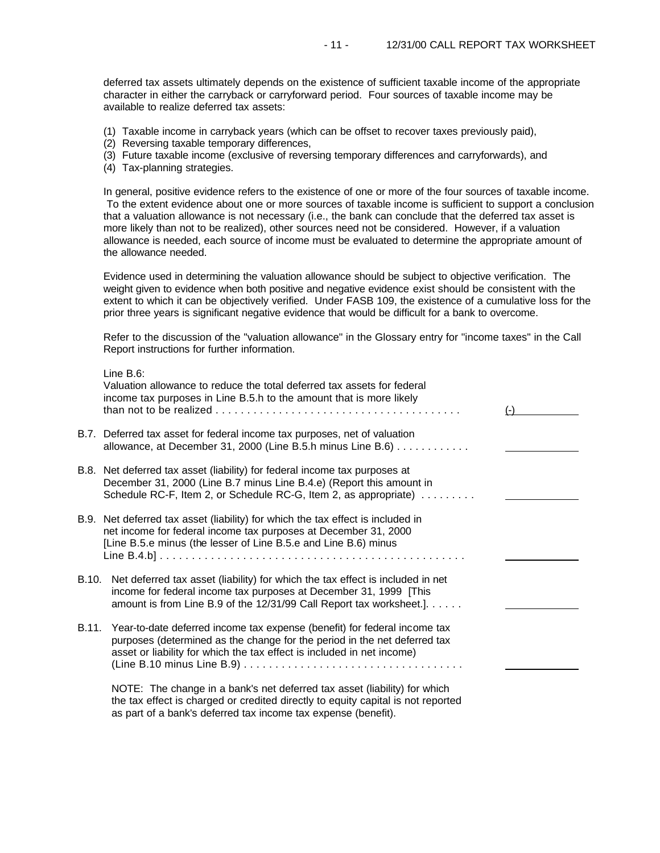deferred tax assets ultimately depends on the existence of sufficient taxable income of the appropriate character in either the carryback or carryforward period. Four sources of taxable income may be available to realize deferred tax assets:

- (1) Taxable income in carryback years (which can be offset to recover taxes previously paid),
- (2) Reversing taxable temporary differences,
- (3) Future taxable income (exclusive of reversing temporary differences and carryforwards), and
- (4) Tax-planning strategies.

In general, positive evidence refers to the existence of one or more of the four sources of taxable income. To the extent evidence about one or more sources of taxable income is sufficient to support a conclusion that a valuation allowance is not necessary (i.e., the bank can conclude that the deferred tax asset is more likely than not to be realized), other sources need not be considered. However, if a valuation allowance is needed, each source of income must be evaluated to determine the appropriate amount of the allowance needed.

Evidence used in determining the valuation allowance should be subject to objective verification. The weight given to evidence when both positive and negative evidence exist should be consistent with the extent to which it can be objectively verified. Under FASB 109, the existence of a cumulative loss for the prior three years is significant negative evidence that would be difficult for a bank to overcome.

Refer to the discussion of the "valuation allowance" in the Glossary entry for "income taxes" in the Call Report instructions for further information.

|       | Line $B.6$ :<br>Valuation allowance to reduce the total deferred tax assets for federal<br>income tax purposes in Line B.5.h to the amount that is more likely                                                                   |  |
|-------|----------------------------------------------------------------------------------------------------------------------------------------------------------------------------------------------------------------------------------|--|
|       | B.7. Deferred tax asset for federal income tax purposes, net of valuation<br>allowance, at December 31, 2000 (Line B.5.h minus Line B.6) $\dots \dots \dots$                                                                     |  |
|       | B.8. Net deferred tax asset (liability) for federal income tax purposes at<br>December 31, 2000 (Line B.7 minus Line B.4.e) (Report this amount in<br>Schedule RC-F, Item 2, or Schedule RC-G, Item 2, as appropriate)           |  |
|       | B.9. Net deferred tax asset (liability) for which the tax effect is included in<br>net income for federal income tax purposes at December 31, 2000<br>[Line B.5.e minus (the lesser of Line B.5.e and Line B.6) minus            |  |
| B.10. | Net deferred tax asset (liability) for which the tax effect is included in net<br>income for federal income tax purposes at December 31, 1999 [This<br>amount is from Line B.9 of the 12/31/99 Call Report tax worksheet.].      |  |
| B.11. | Year-to-date deferred income tax expense (benefit) for federal income tax<br>purposes (determined as the change for the period in the net deferred tax<br>asset or liability for which the tax effect is included in net income) |  |
|       | NOTE: The change in a bank's net deferred tax asset (liability) for which<br>the tax effect is charged or credited directly to equity capital is not reported                                                                    |  |

as part of a bank's deferred tax income tax expense (benefit).